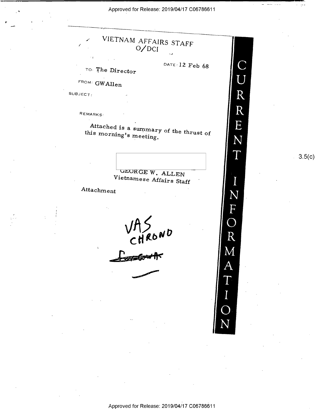$\lambda$  Approved for Release: 2019/04/17 C06786611

"

r. ,\_,-



 $3.5(c)$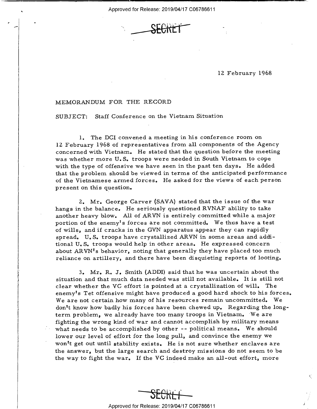\_ Approved for Release: 2019/04/17 C06786611



## \ 12 February 1968

## MEMORANDUM FOR THE RECORD

SUBJECT: Staff Conference on the Vietnam Situation

1. The DCI convened a meeting in his conference room on 12 February 1968 of representatives from all components of the Agency concerned with Vietnam. He stated that the question before the meeting was whether more U. S. troops were needed in South Vietnam to cope with the type of offensive we have seen in the past ten days. He added that the problem should be viewed in terms of the anticipated performance of the Vietnamese armed forces. He asked for the views of each person present on this question.

Z. Mr. George Carver (SAVA) stated that the issue of the war hangs in the balance. He seriously questioned RVNAF ability to take another heavy blow. All of ARVN is entirely committed while a major portion of the enemy's forces are not committed. We thus have a test of wills, and if cracks in the GVN apparatus appear they can rapidly spread. U. S. troops have crystallized ARVN in some areas and additional U. S. troops would help in other areas. He expressed concern ' about ARVN's behavior, noting that generally they have placed too much reliance on artillery, and there have been disquieting reports of looting.

3. Mr. R. J. Smith (ADDI) said that he was uncertain about the situation and that much data needed was still not available. It is still not clear whether the VC effort is pointed at a crystallization of will. The enemy's Tet offensive might have produced a good hard shock to his forces. We are not certain how many of his resources remain uncommitted. We don't know how badly his forces have been chewed up. Regarding the longterm problem, we already have too many troops in Vietnam. "We are fighting the wrong kind of war and cannot accomplish by military means what needs to be accomplished by other -- political means. We should lower our level of effort for the long pull, and convince the enemy we won't get out until stability exists. He is not sure whether enclaves are the answer, but the large search and destroy missions do not seem to be the way to fight the war. If the VC indeed make an all-out effort, more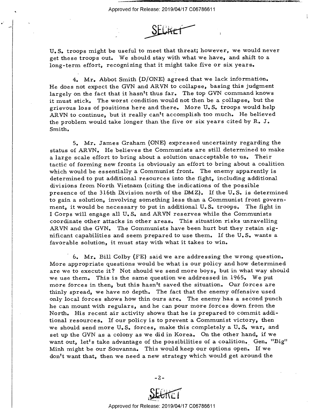,\_



U. S. troops might be useful to meet that threat; however, we would never get these troops out. We should stay with what we have, and shift to a long-term effort, recognizing that it might take five or six years.

4. Mr. Abbot Smith (D/ONE) agreed that we lack information. He does not expect the GVN and ARVN to collapse, basing this judgment largely on the fact that it hasn't thus far. The top GVN command knows it must stick. The worst condition would not then be a collapse, but the grievous loss of positions here and there. More U. S. troops would help ARVN to continue, but it really can't accomplish too much. He believed the problem would take longer than the five or six years cited by R. J. Smith.

5. Mr. James Graham (ONE) expressed uncertainty regarding the status of ARVN. He believes the Communists are still determined to make a large scale effort to bring about a solution unacceptable to us. Their tactic of forming new fronts is obviously an effort to bring about a coalition which would be essentially a Communist front. The enemy apparently is determined to put additional resources into the fight, including additional divisions from North Vietnam (citing the indications of the possible presence of the 316th Division north of the DMZ). If the U. S. is determined to gain a solution, involving something less than a Communist front government, it would be necessary to put in additional U. S. troops. The fight in <sup>I</sup>Corps will engage all U. S. and ARVN reserves while the Communists coordinate other attacks in other areas. This situation risks unravelling ARVN and the GVN. The Communists have been hurt but they retain significant capabilities and seem prepared to use them. If the U. S. wants a favorable solution, it must stay with what it takes to win.

' 6. Mr. Bill Colby (FE) said we are addressing the wrong question. More appropriate questions would be what is our policy and how determined are we to execute it? Not should we send more boys, but in what way should we use them. This is the same question we addressed in 1965. We put more forces in then, but this hasn't saved the situation. Our forces are thinly spread, we have no depth. The fact that the enemy offensive used only local forces shows how thin ours are. The enemy has a second punch he can mount with regulars, and he can pour more forces down from the North. His recent air activity shows that he is prepared to commit additional resources. If our policy is to prevent a Communist victory, then we should send more U.S. forces, make this completely a U.S. war, and set up the GVN as a colony as we did in Korea. On the other hand, if we want out, let's take advantage of the possibilities of a coalition. Gen. "Big" Minh might be our Souvanna. This would keep our options open. If we don't want that, then we need a new strategy which would get around the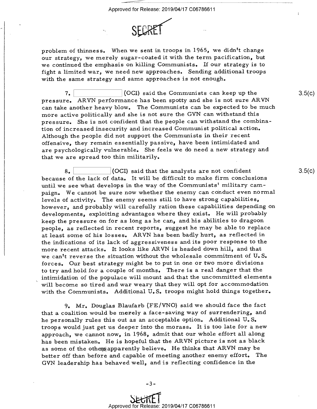

problem of thinness. When we sent in troops in 1965, we didn't change our strategy, we merely sugar-coated it with the term pacification, but we continued the emphasis on killing Communists. If our strategy is to fight a limited war, we need new approaches. Sending additional troops with the same strategy and same approaches is not enough.

7. (OCI) said the Communists can keep up the pressure. ARVN performance has been spotty and she is not sure ARVN can take another heavy blow. The Communists can be expected to be much more active politically and she is not sure the GVN can withstand this pressure. She is not confident that the people can withstand the combination of increased insecurity and increased Communist political action. Although the people did not support the Communists in their recent offensive, they remain essentially passive, have been intimidated and are psychologically vulnerable. She feels we do need a new strategy and that we are spread too thin militarily.

 $8.$  (OCI) said that the analysts are not confident because of the lack of data. It will be difficult to make firm conclusions until we see what develops in the way of the Communists' military campaign. We cannot be sure now whether the enemy can conduct even normal levels of activity. The enemy seems still to have strong capabilities, however, and probably will carefully ration these capabilities depending on developments, exploiting advantages where they exist. He will probably keep the pressure on for as long as he can, and his abilities to dragoon people, as reflected in recent reports, suggest he may be able to replace at least some of his losses. ARVN has been badly hurt, as reflected in the indications of its lack of aggressiveness and its poor response to the more recent attacks. It looks like ARVN is headed down hill, and that we can't reverse the situation without the wholesale commitment of U. S. forces. Our best strategy might be to put in one or two more divisions to try and hold for a couple of months. There is a real danger that the intimidation of the populace will mount and that the uncommitted elements will become so tired and war weary that they will opt for accommodation with the Communists. Additional U.S. troops might hold things together.

9, Mr. Douglas Blaufarb (FE/VNO) said we should face the fact that a coalition would be merely a face-saving way of surrendering, and he personally rules this out as an acceptable option. Additional U. S. troops would just get us deeper into the morass. It is too late for a new approach, we cannot now, in 1968, admit that our whole effort all along has been mistaken. He is hopeful that the ARVN picture is not as black as some of the othens apparently believe. He thinks that ARVN may be better off than before and capable of meeting another enemy effort. The GVN leadership has behaved well, and is reflecting confidence in the

 $3.5(c)$ 

 $3.5(c)$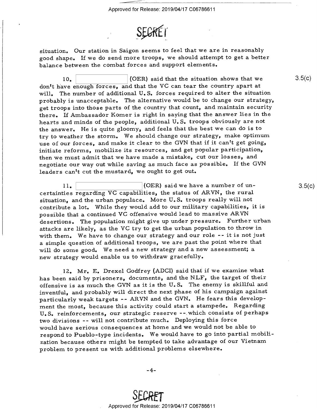

situation. Our station in Saigon seems to feel that we are in reasonably good shape. If we do send more troops, we should attempt to get a better balance between the combat forces and support elements.

10. (OER) said that the situation shows that we don't have enough forces, and that the VC can tear the country apart at will. The number of additional U.S. forces required to alter the situation probably is unacceptable. The alternative would be to change our strategy, get troops into those parts of the country that count, and maintain security there. If Ambassador Komer is right in saying that the answer lies in the hearts and minds of the people, additional U. S. troops obviously are not the answer. He is quite gloomy, and feels that the best we can do is to try to weather the storm. We should change our strategy, make optimum use of our forces, and make it clear to the GVN that if it can't get going, initiate reforms, mobilize its resources, and get popular participation, then we must admit that we have made a mistake, cut our losses, and negotiate our way out while saving as much face as possible. If the GVN leaders can't cut the mustard, we ought to get out.

 $11.$ \(OER) said we have a number of uncertainties regarding VC capabilities, the status of ARVN, the rural situation, and the urban populace. More U.S. troops really will not contribute a lot. While they would add to our military capabilities, it is possible that a continued VC offensive would lead to massive ARVN desertions. The population might give up under pressure. Further urban attacks are likely, as the VC try to get the urban population to throw in with them. We have to change our strategy and our role -- it is not just <sup>a</sup>simple question of additional troops, we are past the point where that will do some good. We need a new strategy and a new assessment; a new strategy would enable us to withdraw gracefully.

12. Mr. E. Drexel Godfrey (ADCI) said that if we examine what has been said by prisoners, documents, and the NLF, the target of their offensive is as much the GVN as it is the U. S. The enemy is skillful and inventful, and probably will direct the next phase of his campaign against particularly weak targets —- ARVN and the GVN. He fears this development the most, because this activity could start a stampede. Regarding U. S. reinforcements, our strategic reserve --.which consists of perhaps two divisions -- will not contribute much. Deploying this force would have serious consequences at home and we would not be able to respond to Pueblo—type incidents. We would have to go into partial mobilization because others might be tempted to take advantage of our Vietnam problem to present us with additional problems elsewhere.

\_4\_

 $3.5(c)$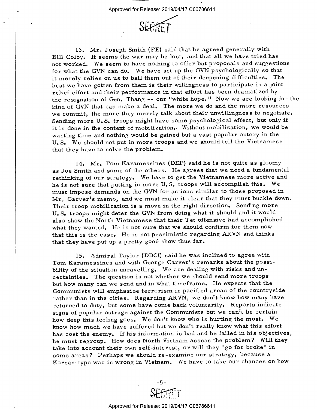

13. Mr. Joseph Smith (FE) said that he agreed generally with Bill Colby. It seems the war may be lost, and that all we have tried has not worked. We seem to have nothing to offer but proposals and suggestions for what the GVN can do. We have set up the GVN psychologically so that it merely relies on us to bail them out of their deepening difficulties. The best we have gotten from them is their Willingness to participate in a joint relief effort and their performance in that effort has been dramatized by the resignation of Gen. Thang -- our "white hope." Now we are looking for the kind of GVN that can make a deal. The more we do and the more resources we commit, the more they merely talk about their unwillingness to negotiate. Sending more U. S. troops might have some psychological effect, but only if it is done in the context of mobilization. Without mobilization, we would be wasting time and nothing would be gained but a vast popular outcry in the U. S. We should not put in more troops and we should tell the Vietnamese that they have to solve the problem.

14. Mr. Tom Karamessines (DDP) said he is not quite as gloomy as Joe Smith and some of the others. He agrees that we need a fundamental rethinking of our strategy. We have to get the Vietnamese more active and he is not sure that putting in more U. S. troops will accomplish this. We must impose demands on the GVN for actions similar to those proposed in Mr. Carver's memo, and we must make it clear that they must buckle down. Their troop mobilization is a move in the right direction. Sending more U. S. troops might deter the GVN from doing what it should and it would also show the North Vietnamese that their Tet offensive had accomplished what they wanted. He is not sure that we should confirm for them now that this is the case. He is not pessimistic regarding ARVN and thinks that they have put up a pretty good show thus far.

15. Admiral Taylor (DDCI) said he was inclined to agree with Tom Karamessines and with George Carver's remarks about the possibility of the situation unravelling. We are dealing with risks and uncertainties. The question is not whether we should send more troops but how many can we send and in what timeframe. He expects that the Communists will emphasize terrorism in pacified areas of the countryside rather than in the cities. Regarding ARVN, we don't know how many have returned to duty, but some have come back voluntarily. Reports indicate signs of popular outrage against the Communists but we can't be certain how deep this feeling goes. We don't know who is hurting the most. We know how much we have suffered but We don't really know what this effort has cost the enemy. If his information is bad and he failed in his objectives, he must regroup. How does North Vietnam assess the problem? Will they take into account their own self-interest, or will they "go for broke" in some areas? Perhaps we should re-examine our strategy, because <sup>a</sup> Korean-type war is wrong in Vietnam. We have to take our chances on how